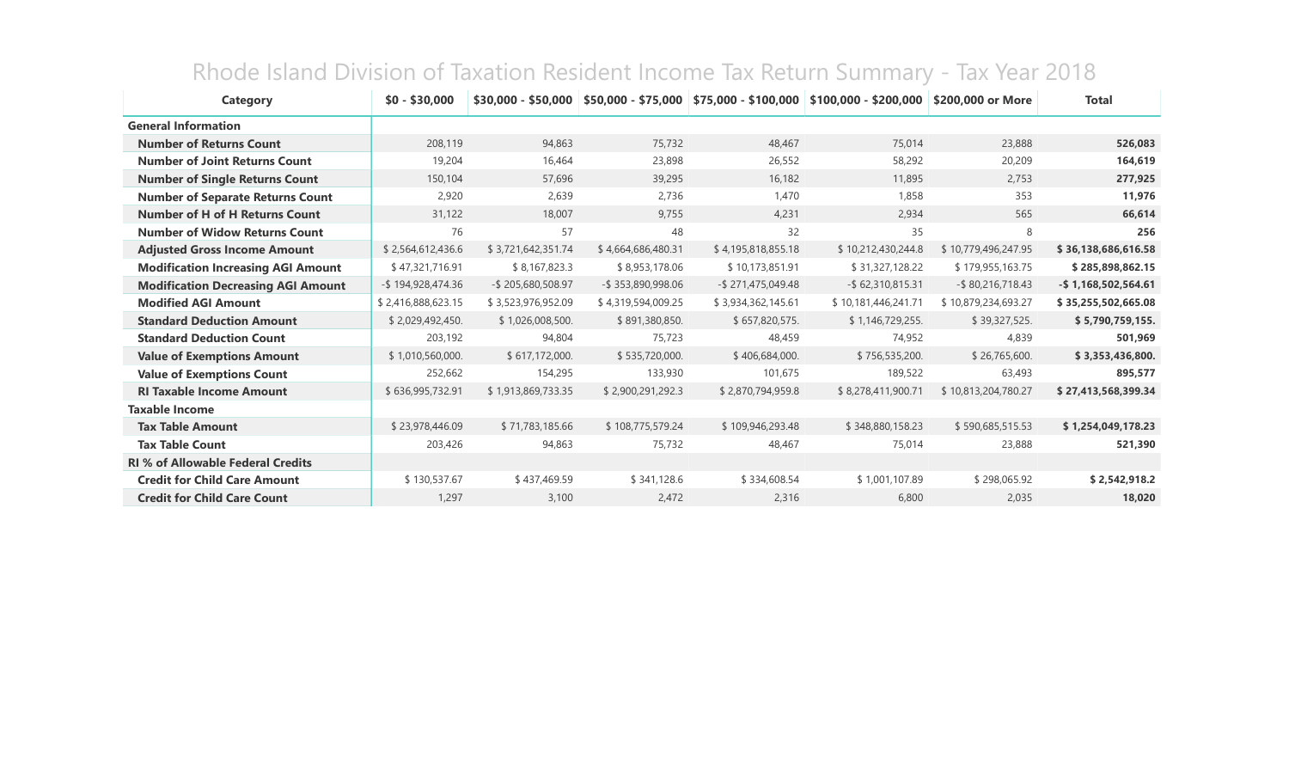| Category                                  | $$0 - $30,000$       | $$30.000 - $50.000$ |                    |                    | $$50,000 - $75,000$ \$75,000 - \$100,000 \$100,000 - \$200,000 | \$200,000 or More   | <b>Total</b>           |
|-------------------------------------------|----------------------|---------------------|--------------------|--------------------|----------------------------------------------------------------|---------------------|------------------------|
| <b>General Information</b>                |                      |                     |                    |                    |                                                                |                     |                        |
| <b>Number of Returns Count</b>            | 208,119              | 94,863              | 75,732             | 48,467             | 75,014                                                         | 23,888              | 526,083                |
| <b>Number of Joint Returns Count</b>      | 19,204               | 16,464              | 23,898             | 26,552             | 58,292                                                         | 20,209              | 164,619                |
| <b>Number of Single Returns Count</b>     | 150,104              | 57,696              | 39,295             | 16,182             | 11,895                                                         | 2,753               | 277,925                |
| <b>Number of Separate Returns Count</b>   | 2,920                | 2,639               | 2,736              | 1,470              | 1,858                                                          | 353                 | 11,976                 |
| <b>Number of H of H Returns Count</b>     | 31,122               | 18,007              | 9,755              | 4,231              | 2,934                                                          | 565                 | 66,614                 |
| <b>Number of Widow Returns Count</b>      | 76                   | 57                  | 48                 | 32                 | 35                                                             | 8                   | 256                    |
| <b>Adjusted Gross Income Amount</b>       | \$2,564,612,436.6    | \$3,721,642,351.74  | \$4,664,686,480.31 | \$4,195,818,855.18 | \$10,212,430,244.8                                             | \$10,779,496,247.95 | \$36,138,686,616.58    |
| <b>Modification Increasing AGI Amount</b> | \$47,321,716.91      | \$8,167,823.3       | \$8,953,178.06     | \$10,173,851.91    | \$31,327,128.22                                                | \$179,955,163.75    | \$285,898,862.15       |
| <b>Modification Decreasing AGI Amount</b> | $-$ \$194,928,474.36 | -\$205,680,508.97   | -\$353,890,998.06  | -\$271,475,049.48  | $-$ \$62,310,815.31                                            | $-$ \$80,216,718.43 | $-$ \$1,168,502,564.61 |
| <b>Modified AGI Amount</b>                | \$2,416,888,623.15   | \$3,523,976,952.09  | \$4,319,594,009.25 | \$3,934,362,145.61 | \$10,181,446,241.71                                            | \$10,879,234,693.27 | \$35,255,502,665.08    |
| <b>Standard Deduction Amount</b>          | \$2,029,492,450.     | \$1,026,008,500.    | \$891,380,850.     | \$657,820,575.     | \$1,146,729,255.                                               | \$39,327,525.       | \$5,790,759,155.       |
| <b>Standard Deduction Count</b>           | 203,192              | 94,804              | 75,723             | 48,459             | 74,952                                                         | 4,839               | 501,969                |
| <b>Value of Exemptions Amount</b>         | \$1,010,560,000.     | \$617,172,000.      | \$535,720,000.     | \$406,684,000.     | \$756,535,200.                                                 | \$26,765,600.       | \$3,353,436,800.       |
| <b>Value of Exemptions Count</b>          | 252,662              | 154,295             | 133,930            | 101,675            | 189,522                                                        | 63,493              | 895,577                |
| <b>RI Taxable Income Amount</b>           | \$636,995,732.91     | \$1,913,869,733.35  | \$2,900,291,292.3  | \$2,870,794,959.8  | \$8,278,411,900.71                                             | \$10,813,204,780.27 | \$27,413,568,399.34    |
| <b>Taxable Income</b>                     |                      |                     |                    |                    |                                                                |                     |                        |
| <b>Tax Table Amount</b>                   | \$23,978,446.09      | \$71,783,185.66     | \$108,775,579.24   | \$109,946,293.48   | \$348,880,158.23                                               | \$590,685,515.53    | \$1,254,049,178.23     |
| <b>Tax Table Count</b>                    | 203,426              | 94,863              | 75,732             | 48,467             | 75,014                                                         | 23,888              | 521,390                |
| <b>RI % of Allowable Federal Credits</b>  |                      |                     |                    |                    |                                                                |                     |                        |
| <b>Credit for Child Care Amount</b>       | \$130,537.67         | \$437,469.59        | \$341,128.6        | \$334,608.54       | \$1,001,107.89                                                 | \$298,065.92        | \$2,542,918.2          |
| <b>Credit for Child Care Count</b>        | 1,297                | 3,100               | 2,472              | 2,316              | 6,800                                                          | 2,035               | 18,020                 |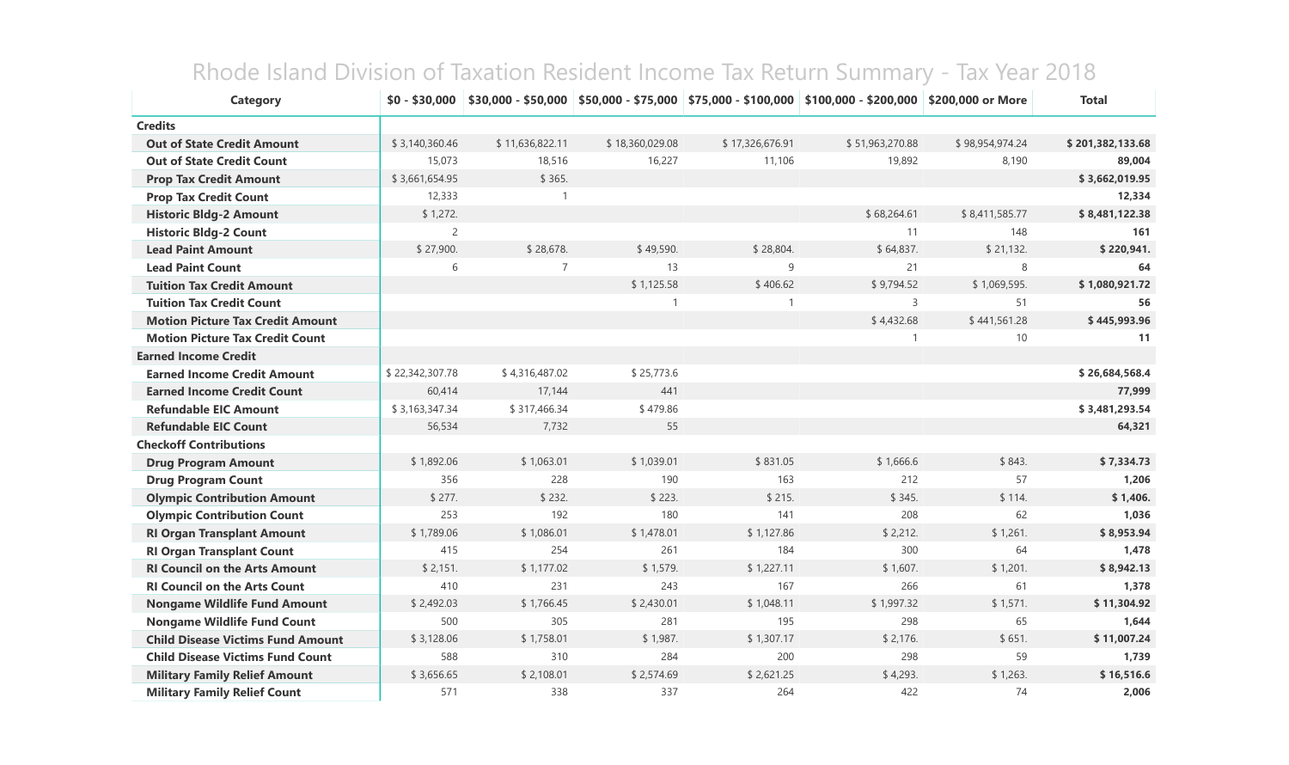| <b>Category</b>                          | $$0 - $30,000$  |                 |                 |                 | \$30,000 - \$50,000   \$50,000 - \$75,000   \$75,000 - \$100,000   \$100,000 - \$200,000   \$200,000 or More |                 | <b>Total</b>     |
|------------------------------------------|-----------------|-----------------|-----------------|-----------------|--------------------------------------------------------------------------------------------------------------|-----------------|------------------|
| <b>Credits</b>                           |                 |                 |                 |                 |                                                                                                              |                 |                  |
| <b>Out of State Credit Amount</b>        | \$3,140,360.46  | \$11,636,822.11 | \$18,360,029.08 | \$17,326,676.91 | \$51,963,270.88                                                                                              | \$98,954,974.24 | \$201,382,133.68 |
| <b>Out of State Credit Count</b>         | 15,073          | 18,516          | 16,227          | 11,106          | 19,892                                                                                                       | 8,190           | 89,004           |
| <b>Prop Tax Credit Amount</b>            | \$3,661,654.95  | \$365.          |                 |                 |                                                                                                              |                 | \$3,662,019.95   |
| <b>Prop Tax Credit Count</b>             | 12,333          | $\mathbf{1}$    |                 |                 |                                                                                                              |                 | 12,334           |
| <b>Historic Bldg-2 Amount</b>            | \$1,272.        |                 |                 |                 | \$68,264.61                                                                                                  | \$8,411,585.77  | \$8,481,122.38   |
| <b>Historic Bldg-2 Count</b>             | $\overline{2}$  |                 |                 |                 | 11                                                                                                           | 148             | 161              |
| <b>Lead Paint Amount</b>                 | \$27,900.       | \$28,678.       | \$49,590.       | \$28,804.       | \$64,837.                                                                                                    | \$21,132.       | \$220,941.       |
| <b>Lead Paint Count</b>                  | 6               | $\overline{7}$  | 13              | 9               | 21                                                                                                           | 8               | 64               |
| <b>Tuition Tax Credit Amount</b>         |                 |                 | \$1,125.58      | \$406.62        | \$9,794.52                                                                                                   | \$1,069,595.    | \$1,080,921.72   |
| <b>Tuition Tax Credit Count</b>          |                 |                 | -1              | $\mathbf{1}$    | 3                                                                                                            | 51              | 56               |
| <b>Motion Picture Tax Credit Amount</b>  |                 |                 |                 |                 | \$4,432.68                                                                                                   | \$441,561.28    | \$445,993.96     |
| <b>Motion Picture Tax Credit Count</b>   |                 |                 |                 |                 | $\mathbf{1}$                                                                                                 | 10              | 11               |
| <b>Earned Income Credit</b>              |                 |                 |                 |                 |                                                                                                              |                 |                  |
| <b>Earned Income Credit Amount</b>       | \$22,342,307.78 | \$4,316,487.02  | \$25,773.6      |                 |                                                                                                              |                 | \$26,684,568.4   |
| <b>Earned Income Credit Count</b>        | 60,414          | 17,144          | 441             |                 |                                                                                                              |                 | 77,999           |
| <b>Refundable EIC Amount</b>             | \$3,163,347.34  | \$317,466.34    | \$479.86        |                 |                                                                                                              |                 | \$3,481,293.54   |
| <b>Refundable EIC Count</b>              | 56,534          | 7,732           | 55              |                 |                                                                                                              |                 | 64,321           |
| <b>Checkoff Contributions</b>            |                 |                 |                 |                 |                                                                                                              |                 |                  |
| <b>Drug Program Amount</b>               | \$1,892.06      | \$1,063.01      | \$1,039.01      | \$831.05        | \$1,666.6                                                                                                    | \$843.          | \$7,334.73       |
| <b>Drug Program Count</b>                | 356             | 228             | 190             | 163             | 212                                                                                                          | 57              | 1,206            |
| <b>Olympic Contribution Amount</b>       | \$277.          | \$232.          | \$223.          | \$215.          | \$345.                                                                                                       | \$114.          | \$1,406.         |
| <b>Olympic Contribution Count</b>        | 253             | 192             | 180             | 141             | 208                                                                                                          | 62              | 1,036            |
| <b>RI Organ Transplant Amount</b>        | \$1,789.06      | \$1,086.01      | \$1,478.01      | \$1,127.86      | \$2,212.                                                                                                     | \$1,261.        | \$8,953.94       |
| <b>RI Organ Transplant Count</b>         | 415             | 254             | 261             | 184             | 300                                                                                                          | 64              | 1,478            |
| <b>RI Council on the Arts Amount</b>     | \$2,151.        | \$1,177.02      | \$1,579.        | \$1,227.11      | \$1,607.                                                                                                     | \$1,201.        | \$8,942.13       |
| <b>RI Council on the Arts Count</b>      | 410             | 231             | 243             | 167             | 266                                                                                                          | 61              | 1,378            |
| <b>Nongame Wildlife Fund Amount</b>      | \$2,492.03      | \$1,766.45      | \$2,430.01      | \$1,048.11      | \$1,997.32                                                                                                   | \$1,571.        | \$11,304.92      |
| <b>Nongame Wildlife Fund Count</b>       | 500             | 305             | 281             | 195             | 298                                                                                                          | 65              | 1,644            |
| <b>Child Disease Victims Fund Amount</b> | \$3,128.06      | \$1,758.01      | \$1,987.        | \$1,307.17      | \$2,176.                                                                                                     | \$651.          | \$11,007.24      |
| <b>Child Disease Victims Fund Count</b>  | 588             | 310             | 284             | 200             | 298                                                                                                          | 59              | 1,739            |
| <b>Military Family Relief Amount</b>     | \$3,656.65      | \$2,108.01      | \$2,574.69      | \$2,621.25      | \$4,293.                                                                                                     | \$1,263.        | \$16,516.6       |
| <b>Military Family Relief Count</b>      | 571             | 338             | 337             | 264             | 422                                                                                                          | 74              | 2,006            |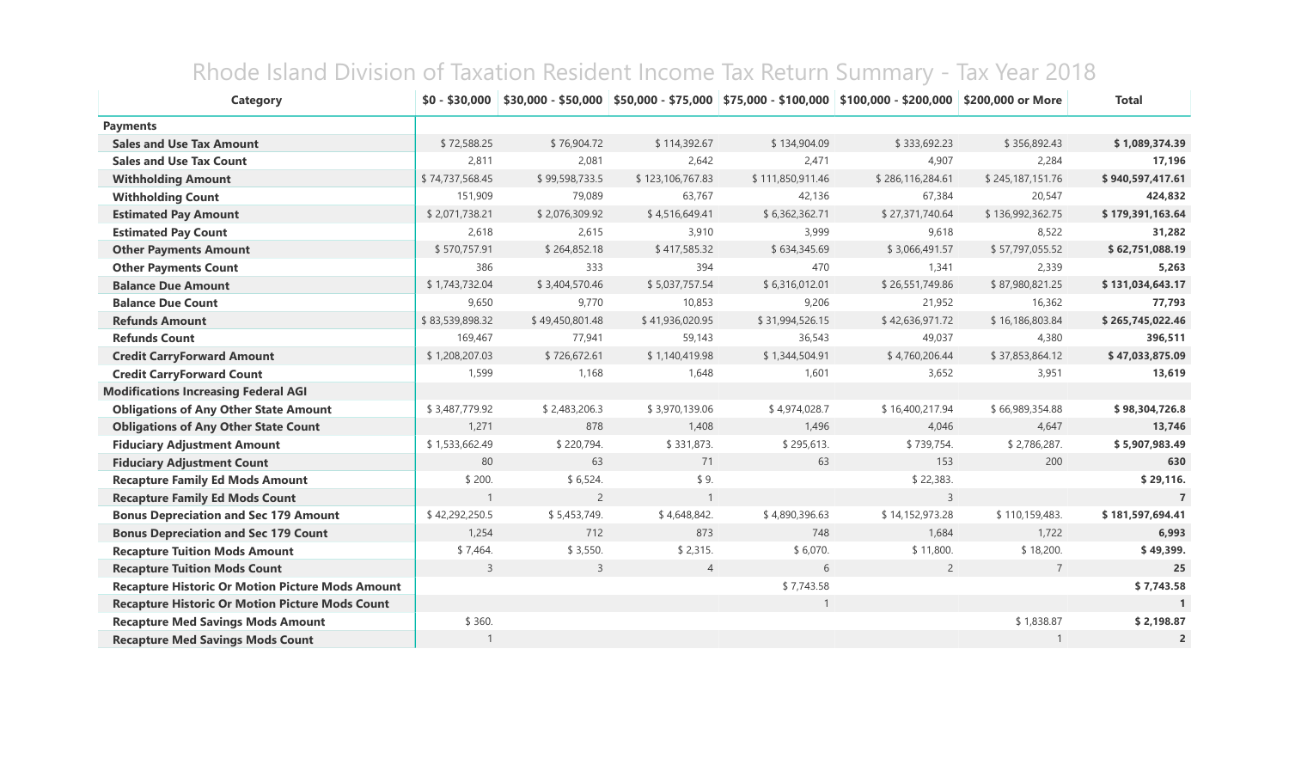| <b>Category</b>                                         |                 |                 |                  |                  | $$0 - $30,000$ $$30,000 - $50,000$ $$50,000 - $75,000$ $$75,000$ $$75,000 - $100,000$ $$100,000 - $200,000$ $$200,000$ or More |                  | <b>Total</b>     |
|---------------------------------------------------------|-----------------|-----------------|------------------|------------------|--------------------------------------------------------------------------------------------------------------------------------|------------------|------------------|
| <b>Payments</b>                                         |                 |                 |                  |                  |                                                                                                                                |                  |                  |
| <b>Sales and Use Tax Amount</b>                         | \$72,588.25     | \$76,904.72     | \$114,392.67     | \$134,904.09     | \$333,692.23                                                                                                                   | \$356,892.43     | \$1,089,374.39   |
| <b>Sales and Use Tax Count</b>                          | 2,811           | 2,081           | 2,642            | 2,471            | 4,907                                                                                                                          | 2,284            | 17,196           |
| <b>Withholding Amount</b>                               | \$74,737,568.45 | \$99,598,733.5  | \$123,106,767.83 | \$111,850,911.46 | \$286,116,284.61                                                                                                               | \$245,187,151.76 | \$940,597,417.61 |
| <b>Withholding Count</b>                                | 151,909         | 79,089          | 63,767           | 42,136           | 67,384                                                                                                                         | 20,547           | 424,832          |
| <b>Estimated Pay Amount</b>                             | \$2,071,738.21  | \$2,076,309.92  | \$4,516,649.41   | \$6,362,362.71   | \$27,371,740.64                                                                                                                | \$136,992,362.75 | \$179,391,163.64 |
| <b>Estimated Pay Count</b>                              | 2,618           | 2,615           | 3,910            | 3,999            | 9,618                                                                                                                          | 8,522            | 31,282           |
| <b>Other Payments Amount</b>                            | \$570,757.91    | \$264,852.18    | \$417,585.32     | \$634,345.69     | \$3,066,491.57                                                                                                                 | \$57,797,055.52  | \$62,751,088.19  |
| <b>Other Payments Count</b>                             | 386             | 333             | 394              | 470              | 1,341                                                                                                                          | 2,339            | 5,263            |
| <b>Balance Due Amount</b>                               | \$1,743,732.04  | \$3,404,570.46  | \$5,037,757.54   | \$6,316,012.01   | \$26,551,749.86                                                                                                                | \$87,980,821.25  | \$131,034,643.17 |
| <b>Balance Due Count</b>                                | 9,650           | 9,770           | 10,853           | 9,206            | 21,952                                                                                                                         | 16,362           | 77,793           |
| <b>Refunds Amount</b>                                   | \$83,539,898.32 | \$49,450,801.48 | \$41,936,020.95  | \$31,994,526.15  | \$42,636,971.72                                                                                                                | \$16,186,803.84  | \$265,745,022.46 |
| <b>Refunds Count</b>                                    | 169,467         | 77,941          | 59,143           | 36,543           | 49,037                                                                                                                         | 4,380            | 396,511          |
| <b>Credit CarryForward Amount</b>                       | \$1,208,207.03  | \$726,672.61    | \$1,140,419.98   | \$1,344,504.91   | \$4,760,206.44                                                                                                                 | \$37,853,864.12  | \$47,033,875.09  |
| <b>Credit CarryForward Count</b>                        | 1,599           | 1,168           | 1,648            | 1,601            | 3,652                                                                                                                          | 3,951            | 13,619           |
| <b>Modifications Increasing Federal AGI</b>             |                 |                 |                  |                  |                                                                                                                                |                  |                  |
| <b>Obligations of Any Other State Amount</b>            | \$3,487,779.92  | \$2,483,206.3   | \$3,970,139.06   | \$4,974,028.7    | \$16,400,217.94                                                                                                                | \$66,989,354.88  | \$98,304,726.8   |
| <b>Obligations of Any Other State Count</b>             | 1,271           | 878             | 1,408            | 1,496            | 4,046                                                                                                                          | 4,647            | 13,746           |
| <b>Fiduciary Adjustment Amount</b>                      | \$1,533,662.49  | \$220,794.      | \$331,873.       | \$295,613.       | \$739,754.                                                                                                                     | \$2,786,287.     | \$5,907,983.49   |
| <b>Fiduciary Adjustment Count</b>                       | 80              | 63              | 71               | 63               | 153                                                                                                                            | 200              | 630              |
| <b>Recapture Family Ed Mods Amount</b>                  | \$200.          | \$6,524.        | \$9.             |                  | \$22,383.                                                                                                                      |                  | \$29,116.        |
| <b>Recapture Family Ed Mods Count</b>                   | $\mathbf{1}$    | $\overline{2}$  | $\mathbf{1}$     |                  | $\overline{3}$                                                                                                                 |                  | $\overline{7}$   |
| <b>Bonus Depreciation and Sec 179 Amount</b>            | \$42,292,250.5  | \$5,453,749.    | \$4,648,842.     | \$4,890,396.63   | \$14,152,973.28                                                                                                                | \$110,159,483.   | \$181,597,694.41 |
| <b>Bonus Depreciation and Sec 179 Count</b>             | 1,254           | 712             | 873              | 748              | 1,684                                                                                                                          | 1,722            | 6,993            |
| <b>Recapture Tuition Mods Amount</b>                    | \$7,464.        | \$3,550.        | \$2,315.         | \$6,070.         | \$11,800.                                                                                                                      | \$18,200.        | \$49,399.        |
| <b>Recapture Tuition Mods Count</b>                     | 3               | 3               | $\overline{4}$   | 6                | $\overline{2}$                                                                                                                 | $\overline{7}$   | 25               |
| <b>Recapture Historic Or Motion Picture Mods Amount</b> |                 |                 |                  | \$7,743.58       |                                                                                                                                |                  | \$7,743.58       |
| <b>Recapture Historic Or Motion Picture Mods Count</b>  |                 |                 |                  | $\mathbf{1}$     |                                                                                                                                |                  |                  |
| <b>Recapture Med Savings Mods Amount</b>                | \$360.          |                 |                  |                  |                                                                                                                                | \$1,838.87       | \$2,198.87       |
| <b>Recapture Med Savings Mods Count</b>                 |                 |                 |                  |                  |                                                                                                                                |                  | $\overline{2}$   |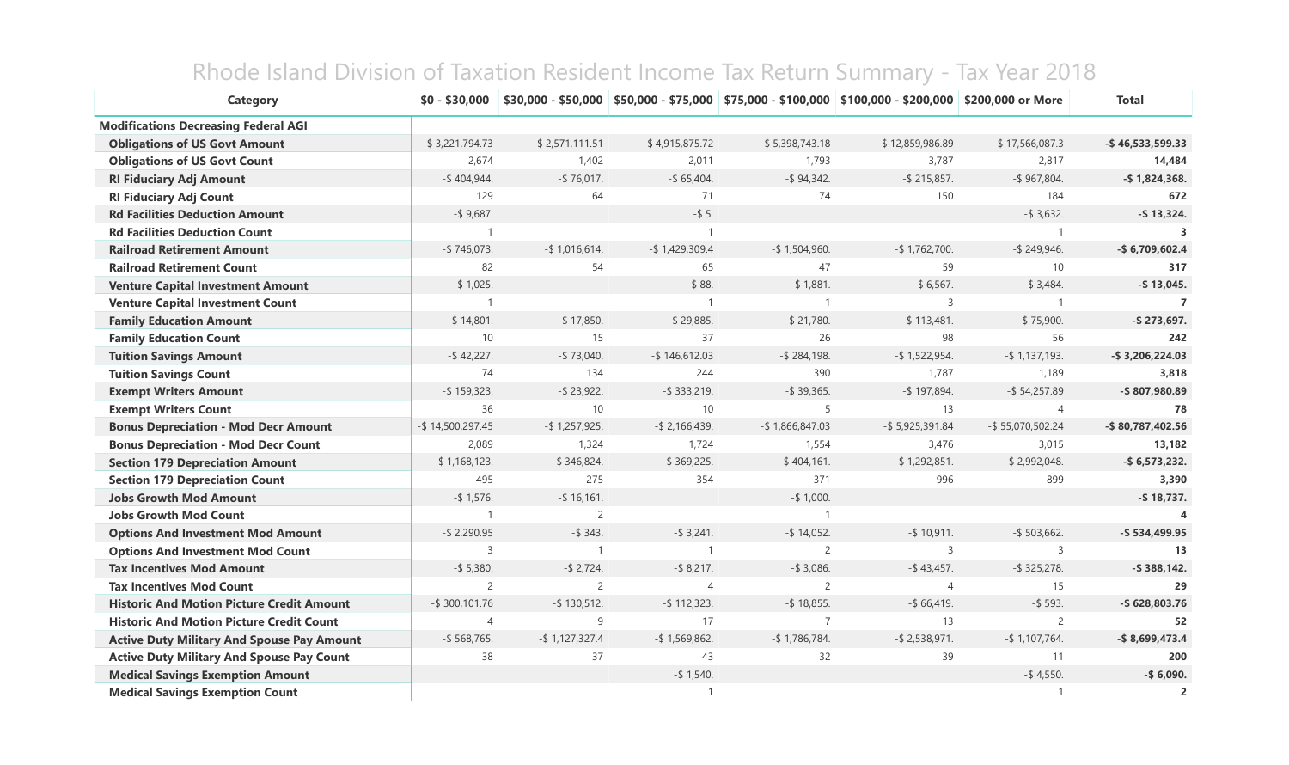| <b>Category</b>                                   | $$0 - $30,000$      | $$30,000 - $50,000$ |                    |                     | \$50,000 - \$75,000   \$75,000 - \$100,000   \$100,000 - \$200,000   \$200,000 or More |                     | <b>Total</b>        |
|---------------------------------------------------|---------------------|---------------------|--------------------|---------------------|----------------------------------------------------------------------------------------|---------------------|---------------------|
| <b>Modifications Decreasing Federal AGI</b>       |                     |                     |                    |                     |                                                                                        |                     |                     |
| <b>Obligations of US Govt Amount</b>              | $-$ \$ 3,221,794.73 | $-$ \$ 2,571,111.51 | $-$ \$4,915,875.72 | $-$ \$ 5,398,743.18 | $-$ \$12,859,986.89                                                                    | $-$ \$17,566,087.3  | $-$ \$46,533,599.33 |
| <b>Obligations of US Govt Count</b>               | 2,674               | 1,402               | 2,011              | 1,793               | 3,787                                                                                  | 2,817               | 14,484              |
| <b>RI Fiduciary Adj Amount</b>                    | $-$ \$404,944.      | $-$ \$76,017.       | $-$ \$ 65,404.     | $-$ \$ 94,342.      | $-$ \$ 215,857.                                                                        | $-$ \$967,804.      | $-$ \$1,824,368.    |
| <b>RI Fiduciary Adj Count</b>                     | 129                 | 64                  | 71                 | 74                  | 150                                                                                    | 184                 | 672                 |
| <b>Rd Facilities Deduction Amount</b>             | $-$ \$ 9,687.       |                     | $-$ \$ 5.          |                     |                                                                                        | $-$ \$ 3,632.       | $-$ \$13,324.       |
| <b>Rd Facilities Deduction Count</b>              | $\mathbf{1}$        |                     | $\mathbf{1}$       |                     |                                                                                        |                     | $\mathbf{3}$        |
| <b>Railroad Retirement Amount</b>                 | $-$ \$746,073.      | $-$ \$1,016,614.    | $-$ \$ 1,429,309.4 | $-$ \$1,504,960.    | $-$ \$1,762,700.                                                                       | $-$ \$ 249,946.     | $-$ \$6,709,602.4   |
| <b>Railroad Retirement Count</b>                  | 82                  | 54                  | 65                 | 47                  | 59                                                                                     | 10                  | 317                 |
| <b>Venture Capital Investment Amount</b>          | $-$ \$ 1,025.       |                     | $-$ \$88.          | $-$ \$ 1,881.       | $-$ \$ 6,567.                                                                          | $-$ \$ 3,484.       | $-$ \$13,045.       |
| <b>Venture Capital Investment Count</b>           | $\mathbf{1}$        |                     | $\mathbf{1}$       | $\overline{1}$      | 3                                                                                      |                     | $\overline{7}$      |
| <b>Family Education Amount</b>                    | $-$ \$ 14,801.      | $-$ \$ 17,850.      | $-$ \$ 29,885.     | $-$ \$ 21,780.      | $-$ \$ 113,481.                                                                        | $-$ \$75,900.       | $-$ \$ 273,697.     |
| <b>Family Education Count</b>                     | 10                  | 15                  | 37                 | 26                  | 98                                                                                     | 56                  | 242                 |
| <b>Tuition Savings Amount</b>                     | $-$ \$42,227.       | $-$ \$ 73,040.      | $-$ \$146,612.03   | $ $284,198.$        | $-$ \$ 1,522,954.                                                                      | $-$ \$1,137,193.    | $-$ \$3,206,224.03  |
| <b>Tuition Savings Count</b>                      | 74                  | 134                 | 244                | 390                 | 1,787                                                                                  | 1,189               | 3,818               |
| <b>Exempt Writers Amount</b>                      | $-$ \$ 159,323.     | $-$ \$ 23,922.      | $-$ \$ 333,219.    | $-$ \$ 39,365.      | $-$ \$ 197,894.                                                                        | $-$ \$ 54,257.89    | -\$807,980.89       |
| <b>Exempt Writers Count</b>                       | 36                  | 10                  | 10                 | 5                   | 13                                                                                     | $\overline{4}$      | 78                  |
| <b>Bonus Depreciation - Mod Decr Amount</b>       | $-$ \$14,500,297.45 | $-$ \$ 1,257,925.   | $-$ \$ 2,166,439.  | $-$ \$1,866,847.03  | $-$ \$5,925,391.84                                                                     | $-$ \$55,070,502.24 | $-$ \$80,787,402.56 |
| <b>Bonus Depreciation - Mod Decr Count</b>        | 2,089               | 1,324               | 1,724              | 1,554               | 3,476                                                                                  | 3,015               | 13,182              |
| <b>Section 179 Depreciation Amount</b>            | $-$ \$1,168,123.    | $-$ \$ 346,824.     | $-$ \$ 369,225.    | $-$ \$404,161.      | $-$ \$ 1,292,851.                                                                      | $-$ \$ 2,992,048.   | $-$ \$6,573,232.    |
| <b>Section 179 Depreciation Count</b>             | 495                 | 275                 | 354                | 371                 | 996                                                                                    | 899                 | 3,390               |
| <b>Jobs Growth Mod Amount</b>                     | $-$ \$ 1,576.       | $-$ \$ 16,161.      |                    | $-$ \$ 1,000.       |                                                                                        |                     | $-$ \$18,737.       |
| <b>Jobs Growth Mod Count</b>                      | $\mathbf{1}$        | $\overline{2}$      |                    | $\overline{1}$      |                                                                                        |                     |                     |
| <b>Options And Investment Mod Amount</b>          | $-$ \$ 2,290.95     | $-$ \$ 343.         | $-$ \$ 3,241.      | $-$ \$ 14,052.      | $-$ \$ 10,911.                                                                         | $-$ \$ 503,662.     | $-$ \$534,499.95    |
| <b>Options And Investment Mod Count</b>           | 3                   | $\overline{1}$      | $\mathbf{1}$       | $\overline{2}$      | 3                                                                                      | $\overline{3}$      | 13                  |
| <b>Tax Incentives Mod Amount</b>                  | $-$ \$ 5,380.       | $-$ \$ 2,724.       | $-$ \$ 8,217.      | $-$ \$ 3,086.       | $-$ \$43,457.                                                                          | $-$ \$ 325,278.     | $-$ \$388,142.      |
| <b>Tax Incentives Mod Count</b>                   | 2                   | $\overline{2}$      | $\overline{4}$     | $\overline{2}$      | $\overline{4}$                                                                         | 15                  | 29                  |
| <b>Historic And Motion Picture Credit Amount</b>  | $-$ \$ 300,101.76   | $-$ \$ 130,512.     | $-$ \$ 112,323.    | $-$ \$18,855.       | $-$ \$ 66,419.                                                                         | $-$ \$ 593.         | -\$628,803.76       |
| <b>Historic And Motion Picture Credit Count</b>   | $\overline{4}$      | 9                   | 17                 | $\overline{7}$      | 13                                                                                     | $\overline{2}$      | 52                  |
| <b>Active Duty Military And Spouse Pay Amount</b> | $-$ \$ 568,765.     | $-$ \$1,127,327.4   | $-$ \$1,569,862.   | $-$ \$1,786,784.    | $-$ \$ 2,538,971.                                                                      | $-$ \$1,107,764.    | $-$ \$8,699,473.4   |
| <b>Active Duty Military And Spouse Pay Count</b>  | 38                  | 37                  | 43                 | 32                  | 39                                                                                     | 11                  | 200                 |
| <b>Medical Savings Exemption Amount</b>           |                     |                     | $-$ \$ 1,540.      |                     |                                                                                        | $-$ \$4,550.        | $-$ \$ 6,090.       |
| <b>Medical Savings Exemption Count</b>            |                     |                     | $\mathbf{1}$       |                     |                                                                                        |                     | $\overline{2}$      |